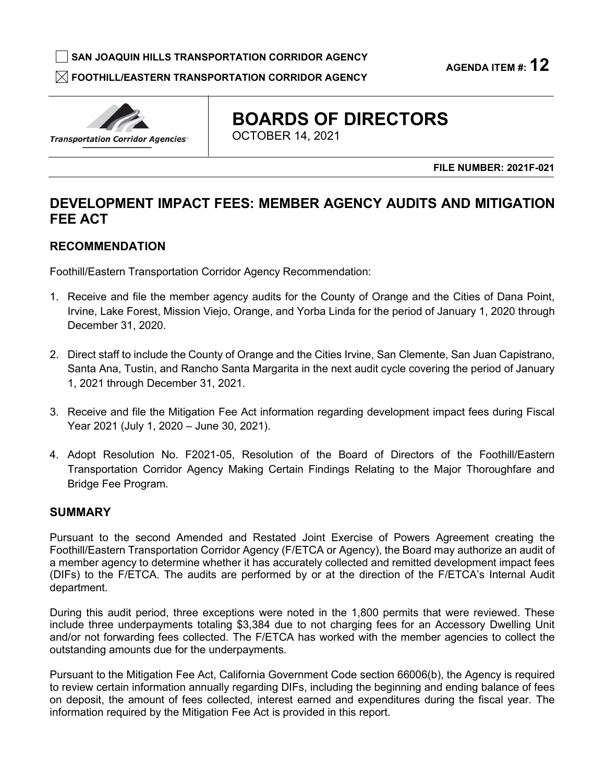□ **SAN JOAQUIN HILLS TRANSPORTATION CORRIDOR AGENCY** 

 $\boxtimes$  FOOTHILL/EASTERN TRANSPORTATION CORRIDOR AGENCY

**AGENDA ITEM #: 12** 



# **BOARDS OF DIRECTORS**

OCTOBER 14, 2021

**FILE NUMBER: 2021F-021** 

# **DEVELOPMENT IMPACT FEES: MEMBER AGENCY AUDITS AND MITIGATION FEE ACT**

# **RECOMMENDATION**

Foothill/Eastern Transportation Corridor Agency Recommendation:

- Irvine, Lake Forest, Mission Viejo, Orange, and Yorba Linda for the period of January 1, 2020 through 1. Receive and file the member agency audits for the County of Orange and the Cities of Dana Point, December 31, 2020.
- Santa Ana, Tustin, and Rancho Santa Margarita in the next audit cycle covering the period of January 1, 2021 through December 31, 2021. 2. Direct staff to include the County of Orange and the Cities Irvine, San Clemente, San Juan Capistrano,
- Year 2021 (July 1, 2020 June 30, 2021). 3. Receive and file the Mitigation Fee Act information regarding development impact fees during Fiscal
- Transportation Corridor Agency Making Certain Findings Relating to the Major Thoroughfare and 4. Adopt Resolution No. F2021-05, Resolution of the Board of Directors of the Foothill/Eastern Bridge Fee Program.

# **SUMMARY**

 Pursuant to the second Amended and Restated Joint Exercise of Powers Agreement creating the a member agency to determine whether it has accurately collected and remitted development impact fees (DIFs) to the F/ETCA. The audits are performed by or at the direction of the F/ETCA's Internal Audit Foothill/Eastern Transportation Corridor Agency (F/ETCA or Agency), the Board may authorize an audit of department.

 and/or not forwarding fees collected. The F/ETCA has worked with the member agencies to collect the During this audit period, three exceptions were noted in the 1,800 permits that were reviewed. These include three underpayments totaling \$3,384 due to not charging fees for an Accessory Dwelling Unit outstanding amounts due for the underpayments.

 Pursuant to the Mitigation Fee Act, California Government Code section 66006(b), the Agency is required to review certain information annually regarding DIFs, including the beginning and ending balance of fees on deposit, the amount of fees collected, interest earned and expenditures during the fiscal year. The information required by the Mitigation Fee Act is provided in this report.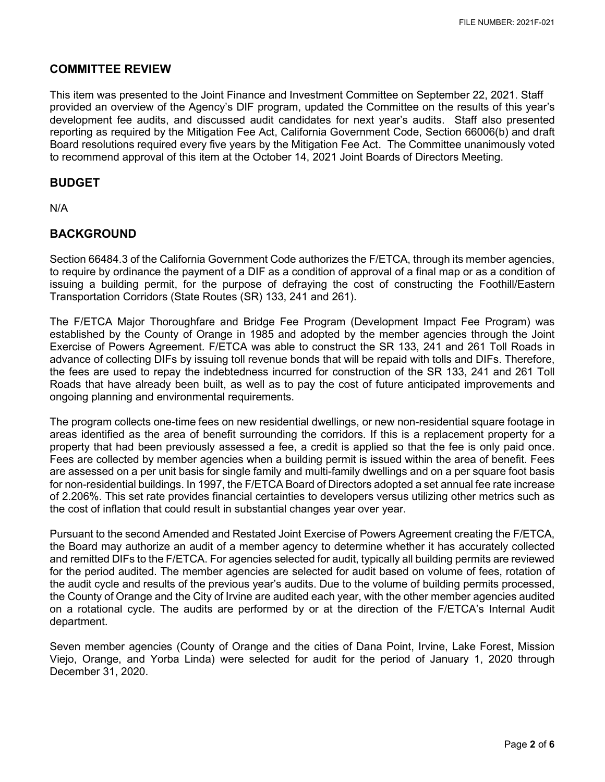## **COMMITTEE REVIEW**

 provided an overview of the Agency's DIF program, updated the Committee on the results of this year's development fee audits, and discussed audit candidates for next year's audits. Staff also presented reporting as required by the Mitigation Fee Act, California Government Code, Section 66006(b) and draft to recommend approval of this item at the October 14, 2021 Joint Boards of Directors Meeting. This item was presented to the Joint Finance and Investment Committee on September 22, 2021. Staff Board resolutions required every five years by the Mitigation Fee Act. The Committee unanimously voted

## **BUDGET**

N/A

## **BACKGROUND**

 Section 66484.3 of the California Government Code authorizes the F/ETCA, through its member agencies, to require by ordinance the payment of a DIF as a condition of approval of a final map or as a condition of issuing a building permit, for the purpose of defraying the cost of constructing the Foothill/Eastern Transportation Corridors (State Routes (SR) 133, 241 and 261).

 the fees are used to repay the indebtedness incurred for construction of the SR 133, 241 and 261 Toll Roads that have already been built, as well as to pay the cost of future anticipated improvements and The F/ETCA Major Thoroughfare and Bridge Fee Program (Development Impact Fee Program) was established by the County of Orange in 1985 and adopted by the member agencies through the Joint Exercise of Powers Agreement. F/ETCA was able to construct the SR 133, 241 and 261 Toll Roads in advance of collecting DIFs by issuing toll revenue bonds that will be repaid with tolls and DIFs. Therefore, ongoing planning and environmental requirements.

 The program collects one-time fees on new residential dwellings, or new non-residential square footage in areas identified as the area of benefit surrounding the corridors. If this is a replacement property for a property that had been previously assessed a fee, a credit is applied so that the fee is only paid once. Fees are collected by member agencies when a building permit is issued within the area of benefit. Fees are assessed on a per unit basis for single family and multi-family dwellings and on a per square foot basis for non-residential buildings. In 1997, the F/ETCA Board of Directors adopted a set annual fee rate increase of 2.206%. This set rate provides financial certainties to developers versus utilizing other metrics such as the cost of inflation that could result in substantial changes year over year.

 and remitted DIFs to the F/ETCA. For agencies selected for audit, typically all building permits are reviewed for the period audited. The member agencies are selected for audit based on volume of fees, rotation of the audit cycle and results of the previous year's audits. Due to the volume of building permits processed, the County of Orange and the City of Irvine are audited each year, with the other member agencies audited on a rotational cycle. The audits are performed by or at the direction of the F/ETCA's Internal Audit Pursuant to the second Amended and Restated Joint Exercise of Powers Agreement creating the F/ETCA, the Board may authorize an audit of a member agency to determine whether it has accurately collected department.

 Seven member agencies (County of Orange and the cities of Dana Point, Irvine, Lake Forest, Mission Viejo, Orange, and Yorba Linda) were selected for audit for the period of January 1, 2020 through December 31, 2020.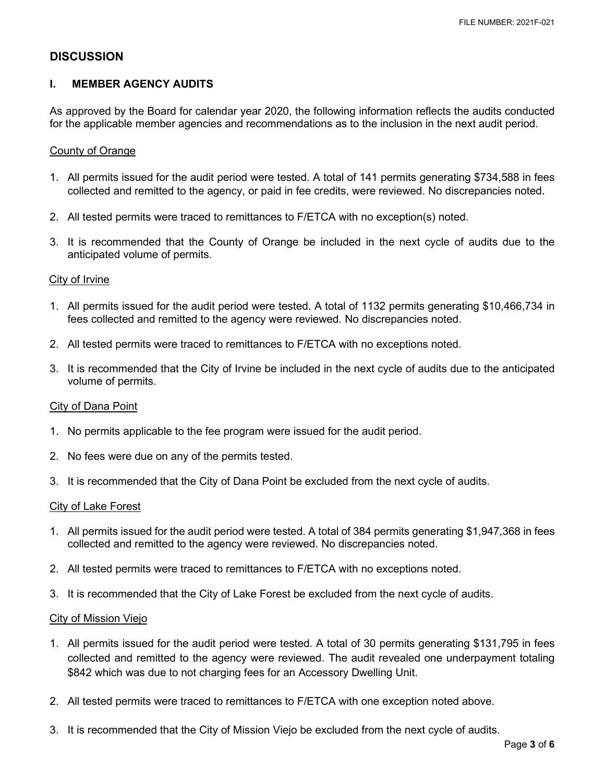## **DISCUSSION**

#### **I. MEMBER AGENCY AUDITS**

 As approved by the Board for calendar year 2020, the following information reflects the audits conducted for the applicable member agencies and recommendations as to the inclusion in the next audit period.

#### County of Orange

- 1. All permits issued for the audit period were tested. A total of 141 permits generating \$734,588 in fees collected and remitted to the agency, or paid in fee credits, were reviewed. No discrepancies noted.
- 2. All tested permits were traced to remittances to F/ETCA with no exception(s) noted.
- 3. It is recommended that the County of Orange be included in the next cycle of audits due to the anticipated volume of permits.

#### City of Irvine

- 1. All permits issued for the audit period were tested. A total of 1132 permits generating \$10,466,734 in fees collected and remitted to the agency were reviewed. No discrepancies noted.
- 2. All tested permits were traced to remittances to F/ETCA with no exceptions noted.
- 3. It is recommended that the City of Irvine be included in the next cycle of audits due to the anticipated volume of permits.

#### City of Dana Point

- 1. No permits applicable to the fee program were issued for the audit period.
- 2. No fees were due on any of the permits tested.
- 3. It is recommended that the City of Dana Point be excluded from the next cycle of audits.

#### City of Lake Forest

- 1. All permits issued for the audit period were tested. A total of 384 permits generating \$1,947,368 in fees collected and remitted to the agency were reviewed. No discrepancies noted.
- 2. All tested permits were traced to remittances to F/ETCA with no exceptions noted.
- 3. It is recommended that the City of Lake Forest be excluded from the next cycle of audits.

#### City of Mission Viejo

- collected and remitted to the agency were reviewed. The audit revealed one underpayment totaling \$842 which was due to not charging fees for an Accessory Dwelling Unit. 1. All permits issued for the audit period were tested. A total of 30 permits generating \$131,795 in fees
- 2. All tested permits were traced to remittances to F/ETCA with one exception noted above.
- 3. It is recommended that the City of Mission Viejo be excluded from the next cycle of audits.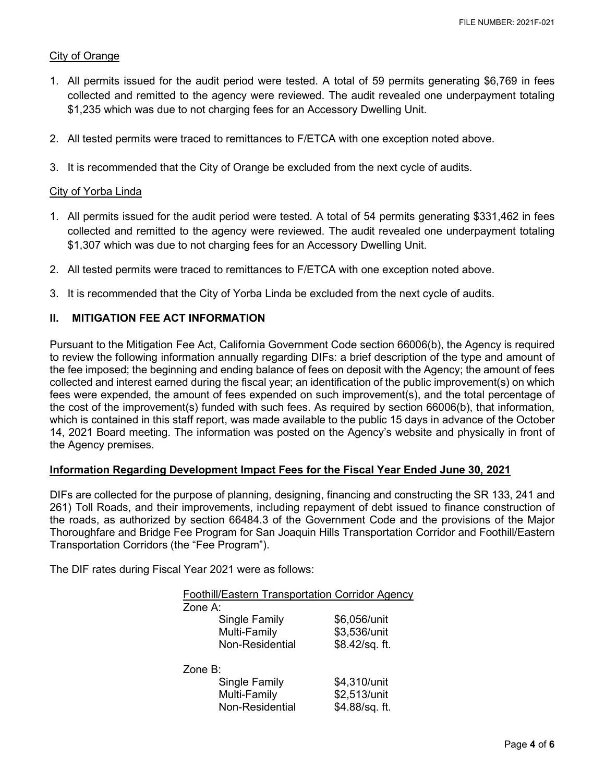#### City of Orange

- 1. All permits issued for the audit period were tested. A total of 59 permits generating \$6,769 in fees collected and remitted to the agency were reviewed. The audit revealed one underpayment totaling \$1,235 which was due to not charging fees for an Accessory Dwelling Unit.
- 2. All tested permits were traced to remittances to F/ETCA with one exception noted above.
- 3. It is recommended that the City of Orange be excluded from the next cycle of audits.

#### City of Yorba Linda

- collected and remitted to the agency were reviewed. The audit revealed one underpayment totaling 1. All permits issued for the audit period were tested. A total of 54 permits generating \$331,462 in fees \$1,307 which was due to not charging fees for an Accessory Dwelling Unit.
- 2. All tested permits were traced to remittances to F/ETCA with one exception noted above.
- 3. It is recommended that the City of Yorba Linda be excluded from the next cycle of audits.

#### **II. MITIGATION FEE ACT INFORMATION**

 Pursuant to the Mitigation Fee Act, California Government Code section 66006(b), the Agency is required which is contained in this staff report, was made available to the public 15 days in advance of the October to review the following information annually regarding DIFs: a brief description of the type and amount of the fee imposed; the beginning and ending balance of fees on deposit with the Agency; the amount of fees collected and interest earned during the fiscal year; an identification of the public improvement(s) on which fees were expended, the amount of fees expended on such improvement(s), and the total percentage of the cost of the improvement(s) funded with such fees. As required by section 66006(b), that information, 14, 2021 Board meeting. The information was posted on the Agency's website and physically in front of the Agency premises.

#### **Information Regarding Development Impact Fees for the Fiscal Year Ended June 30, 2021**

 the roads, as authorized by section 66484.3 of the Government Code and the provisions of the Major DIFs are collected for the purpose of planning, designing, financing and constructing the SR 133, 241 and 261) Toll Roads, and their improvements, including repayment of debt issued to finance construction of Thoroughfare and Bridge Fee Program for San Joaquin Hills Transportation Corridor and Foothill/Eastern Transportation Corridors (the "Fee Program").

The DIF rates during Fiscal Year 2021 were as follows:

| <b>Foothill/Eastern Transportation Corridor Agency</b> |                |
|--------------------------------------------------------|----------------|
| Zone $A$ :                                             |                |
| Single Family                                          | \$6,056/unit   |
| Multi-Family                                           | \$3,536/unit   |
| Non-Residential                                        | \$8.42/sq. ft. |
|                                                        |                |
| Zone $B$ :                                             |                |
| Single Family                                          | \$4,310/unit   |
| Multi-Family                                           | \$2,513/unit   |
| Non-Residential                                        | \$4.88/sq. ft. |
|                                                        |                |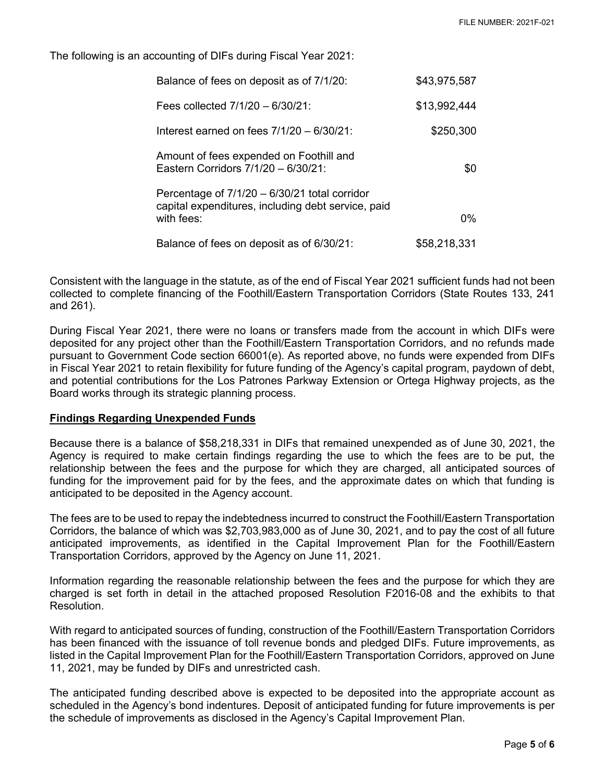The following is an accounting of DIFs during Fiscal Year 2021:

| Balance of fees on deposit as of 7/1/20:                                                                          | \$43,975,587 |
|-------------------------------------------------------------------------------------------------------------------|--------------|
| Fees collected $7/1/20 - 6/30/21$ :                                                                               | \$13,992,444 |
| Interest earned on fees $7/1/20 - 6/30/21$ :                                                                      | \$250,300    |
| Amount of fees expended on Foothill and<br>Eastern Corridors 7/1/20 - 6/30/21:                                    | \$0          |
| Percentage of 7/1/20 - 6/30/21 total corridor<br>capital expenditures, including debt service, paid<br>with fees: | 0%           |
| Balance of fees on deposit as of 6/30/21:                                                                         | \$58,218,331 |

 collected to complete financing of the Foothill/Eastern Transportation Corridors (State Routes 133, 241 Consistent with the language in the statute, as of the end of Fiscal Year 2021 sufficient funds had not been and 261).

 During Fiscal Year 2021, there were no loans or transfers made from the account in which DIFs were Board works through its strategic planning process. deposited for any project other than the Foothill/Eastern Transportation Corridors, and no refunds made pursuant to Government Code section 66001(e). As reported above, no funds were expended from DIFs in Fiscal Year 2021 to retain flexibility for future funding of the Agency's capital program, paydown of debt, and potential contributions for the Los Patrones Parkway Extension or Ortega Highway projects, as the

#### **Findings Regarding Unexpended Funds**

 Agency is required to make certain findings regarding the use to which the fees are to be put, the funding for the improvement paid for by the fees, and the approximate dates on which that funding is anticipated to be deposited in the Agency account. Because there is a balance of \$58,218,331 in DIFs that remained unexpended as of June 30, 2021, the relationship between the fees and the purpose for which they are charged, all anticipated sources of

 Corridors, the balance of which was \$2,703,983,000 as of June 30, 2021, and to pay the cost of all future anticipated improvements, as identified in the Capital Improvement Plan for the Foothill/Eastern The fees are to be used to repay the indebtedness incurred to construct the Foothill/Eastern Transportation Transportation Corridors, approved by the Agency on June 11, 2021.

 charged is set forth in detail in the attached proposed Resolution F2016-08 and the exhibits to that Resolution Information regarding the reasonable relationship between the fees and the purpose for which they are

 11, 2021, may be funded by DIFs and unrestricted cash. With regard to anticipated sources of funding, construction of the Foothill/Eastern Transportation Corridors has been financed with the issuance of toll revenue bonds and pledged DIFs. Future improvements, as listed in the Capital Improvement Plan for the Foothill/Eastern Transportation Corridors, approved on June

 scheduled in the Agency's bond indentures. Deposit of anticipated funding for future improvements is per The anticipated funding described above is expected to be deposited into the appropriate account as the schedule of improvements as disclosed in the Agency's Capital Improvement Plan.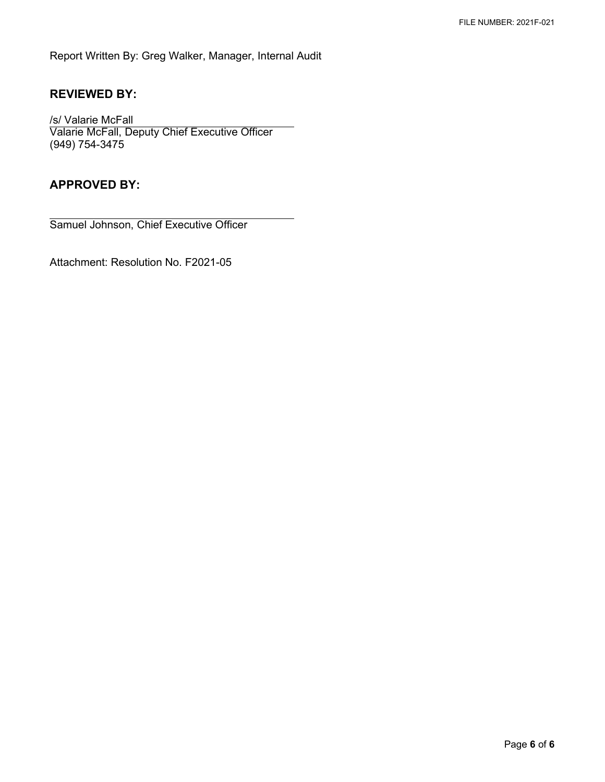Report Written By: Greg Walker, Manager, Internal Audit

# **REVIEWED BY:**

/s/ Valarie McFall Valarie McFall, Deputy Chief Executive Officer (949) 754-3475

## **APPROVED BY:**

Samuel Johnson, Chief Executive Officer

Attachment: Resolution No. F2021-05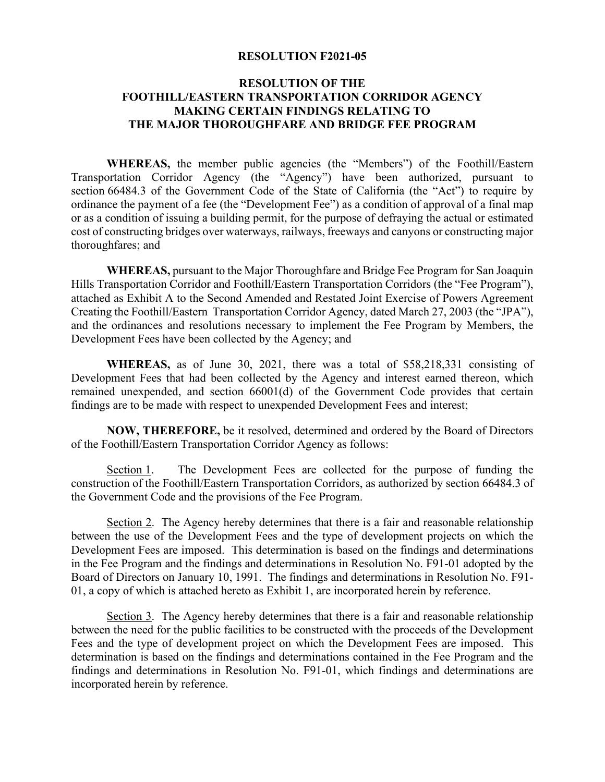#### **RESOLUTION F2021-05**

## **RESOLUTION OF THE FOOTHILL/EASTERN TRANSPORTATION CORRIDOR AGENCY MAKING CERTAIN FINDINGS RELATING TO THE MAJOR THOROUGHFARE AND BRIDGE FEE PROGRAM**

 or as a condition of issuing a building permit, for the purpose of defraying the actual or estimated **WHEREAS,** the member public agencies (the "Members") of the Foothill/Eastern Transportation Corridor Agency (the "Agency") have been authorized, pursuant to section 66484.3 of the Government Code of the State of California (the "Act") to require by ordinance the payment of a fee (the "Development Fee") as a condition of approval of a final map cost of constructing bridges over waterways, railways, freeways and canyons or constructing major thoroughfares; and

 attached as Exhibit A to the Second Amended and Restated Joint Exercise of Powers Agreement **WHEREAS,** pursuant to the Major Thoroughfare and Bridge Fee Program for San Joaquin Hills Transportation Corridor and Foothill/Eastern Transportation Corridors (the "Fee Program"), Creating the Foothill/Eastern Transportation Corridor Agency, dated March 27, 2003 (the "JPA"), and the ordinances and resolutions necessary to implement the Fee Program by Members, the Development Fees have been collected by the Agency; and

 Development Fees that had been collected by the Agency and interest earned thereon, which remained unexpended, and section 66001(d) of the Government Code provides that certain **WHEREAS,** as of June 30, 2021, there was a total of \$58,218,331 consisting of findings are to be made with respect to unexpended Development Fees and interest;

**NOW, THEREFORE,** be it resolved, determined and ordered by the Board of Directors of the Foothill/Eastern Transportation Corridor Agency as follows:

Section 1. The Development Fees are collected for the purpose of funding the construction of the Foothill/Eastern Transportation Corridors, as authorized by section 66484.3 of the Government Code and the provisions of the Fee Program.

Section 2. The Agency hereby determines that there is a fair and reasonable relationship between the use of the Development Fees and the type of development projects on which the Development Fees are imposed. This determination is based on the findings and determinations in the Fee Program and the findings and determinations in Resolution No. F91-01 adopted by the Board of Directors on January 10, 1991. The findings and determinations in Resolution No. F91- 01, a copy of which is attached hereto as Exhibit 1, are incorporated herein by reference.

Section 3. The Agency hereby determines that there is a fair and reasonable relationship between the need for the public facilities to be constructed with the proceeds of the Development Fees and the type of development project on which the Development Fees are imposed. This determination is based on the findings and determinations contained in the Fee Program and the findings and determinations in Resolution No. F91-01, which findings and determinations are incorporated herein by reference.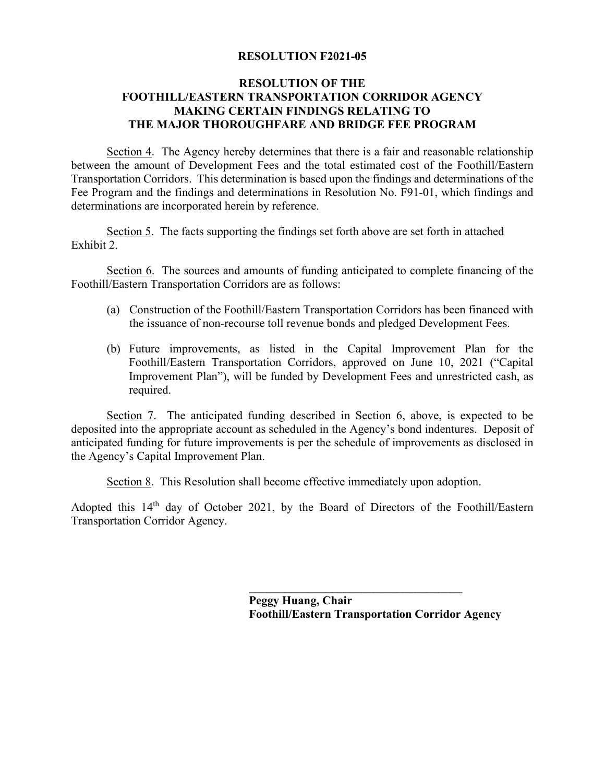## **RESOLUTION F2021-05**

## **RESOLUTION OF THE FOOTHILL/EASTERN TRANSPORTATION CORRIDOR AGENCY MAKING CERTAIN FINDINGS RELATING TO THE MAJOR THOROUGHFARE AND BRIDGE FEE PROGRAM**

Section 4. The Agency hereby determines that there is a fair and reasonable relationship between the amount of Development Fees and the total estimated cost of the Foothill/Eastern Transportation Corridors. This determination is based upon the findings and determinations of the Fee Program and the findings and determinations in Resolution No. F91-01, which findings and determinations are incorporated herein by reference.

Section 5. The facts supporting the findings set forth above are set forth in attached Exhibit 2.

 Foothill/Eastern Transportation Corridors are as follows: Section 6. The sources and amounts of funding anticipated to complete financing of the

- the issuance of non-recourse toll revenue bonds and pledged Development Fees. (a) Construction of the Foothill/Eastern Transportation Corridors has been financed with
- required. (b) Future improvements, as listed in the Capital Improvement Plan for the Foothill/Eastern Transportation Corridors, approved on June 10, 2021 ("Capital Improvement Plan"), will be funded by Development Fees and unrestricted cash, as

 deposited into the appropriate account as scheduled in the Agency's bond indentures. Deposit of Section 7. The anticipated funding described in Section 6, above, is expected to be anticipated funding for future improvements is per the schedule of improvements as disclosed in the Agency's Capital Improvement Plan.

Section 8. This Resolution shall become effective immediately upon adoption.

Adopted this 14<sup>th</sup> day of October 2021, by the Board of Directors of the Foothill/Eastern Transportation Corridor Agency.

> **\_\_\_\_\_\_\_\_\_\_\_\_\_\_\_\_\_\_\_\_\_\_\_\_\_\_\_\_\_\_\_\_\_\_\_\_ Peggy Huang, Chair Foothill/Eastern Transportation Corridor Agency**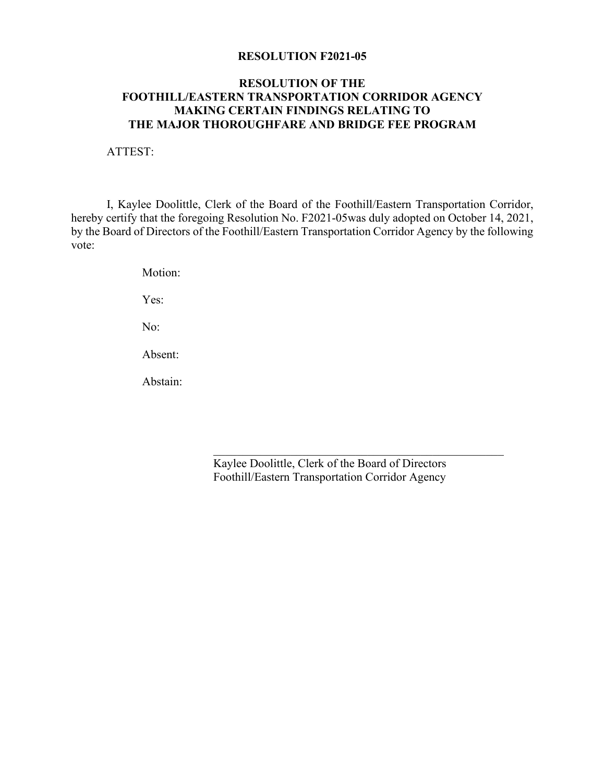#### **RESOLUTION F2021-05**

## **RESOLUTION OF THE FOOTHILL/EASTERN TRANSPORTATION CORRIDOR AGENCY MAKING CERTAIN FINDINGS RELATING TO THE MAJOR THOROUGHFARE AND BRIDGE FEE PROGRAM**

ATTEST:

I, Kaylee Doolittle, Clerk of the Board of the Foothill/Eastern Transportation Corridor, hereby certify that the foregoing Resolution No. F2021-05was duly adopted on October 14, 2021, by the Board of Directors of the Foothill/Eastern Transportation Corridor Agency by the following vote:

Motion:

Yes:

No:

Absent:

Abstain:

Absent:<br>Abstain:<br>Kaylee Doolittle, Clerk of the Board of Directors Foothill/Eastern Transportation Corridor Agency

\_\_\_\_\_\_\_\_\_\_\_\_\_\_\_\_\_\_\_\_\_\_\_\_\_\_\_\_\_\_\_\_\_\_\_\_\_\_\_\_\_\_\_\_\_\_\_\_\_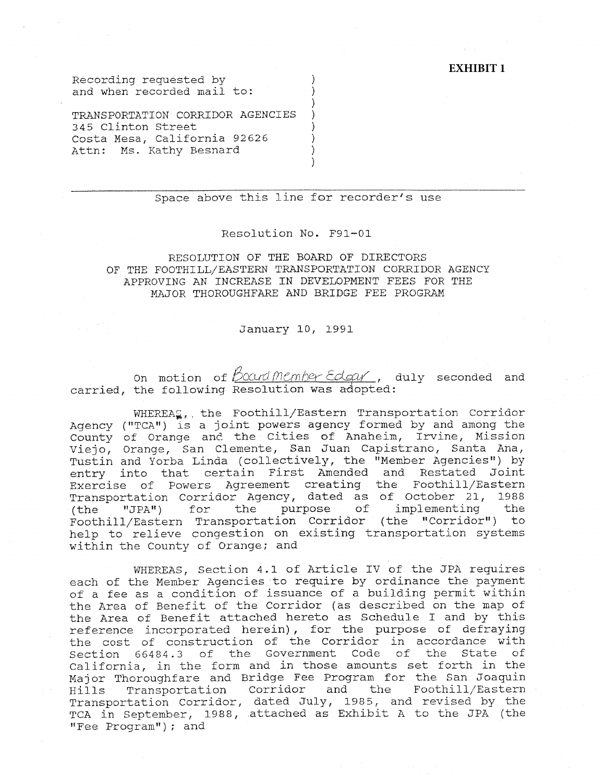#### **EXHIBIT 1**

Recording requested by ) and when recorded mail to:

TRANSPORTATION CORRIDOR AGENCIES 345 Clinton Street ) Costa Mesa, California 92626 ) Attn: Ms. Kathy Besnard )

#### Space above this line for recorder's use

)

)

#### Resolution No. F91-0l

#### RESOLUTION OF THE BOARD OF DIRECTORS OF THE FOOTHILL/EASTERN TRANSPORTATION CORRIDOR AGENCY APPROVING AN INCREASE IN DEVELOPMENT FEES FOR THE MAJOR THOROUGHFARE AND BRIDGE FEE PROGRAM

#### January 10, 1991

on motion of *Bocard Member Edgar*, duly seconded and carried, the following Resolution was adopted:

WHEREA<sub>s</sub>, the Foothill/Eastern Transportation Corridor Agency ("TCA") is a joint powers agency formed by and among the County of Orange and the Cities of Anaheim, Irvine, Mission Viejo, Orange, San Clemente, San Juan Capistrano, Santa Ana, Tustin and Yorba Linda (collectively, the "Member Agencies") by entry into that certain First Amended and Restated Joint Exercise of Powers Agreement creating the Foothill/Eastern Transportation Corridor Agency, dated as of October 21, 1988 (the "JPA") for the purpose of implementing the Foothill/Eastern Transportation Corridor (the "Corridor") to help to relieve congestion on existing transportation systems within the County of Orange; and

WHEREAS, Section 4.1 of Article IV of the JPA requires each of the Member Agencies to require by ordinance the payment of a fee as a condition of issuance of a building permit within the Area of Benefit of the Corridor (as described on the map of the Area of Benefit attached hereto as Schedule I and by this reference incorporated herein) , for the purpose of defraying the cost of construction of the Corridor in accordance with Section 66484.3 of the Government Code of the State of California, in the form and in those amounts set forth in the Major Thoroughfare and Bridge Fee Program for the San Joaquin Hills Transportation Corridor and the Foothill/Eastern Transportation Corridor, dated July, 1985, and revised by the TCA in September, 1988, attached as Exhibit A to the JPA (the "Fee Program"); and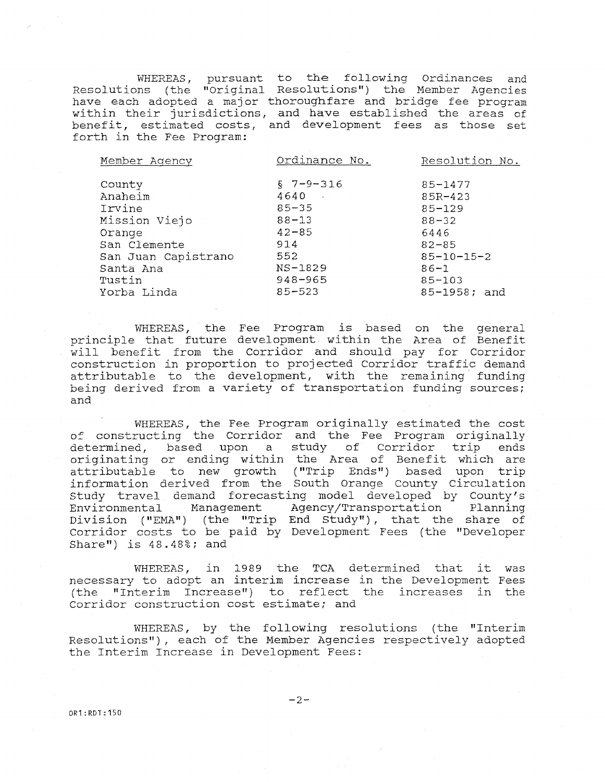WHEREAS, pursuant to the following Ordinances and Resolutions (the "Original Resolutions") the Member Agenci $\epsilon$ have each adopted a major thoroughfare and bridge fee program within their jurisdictions, and have established the areas of benefit, estimated costs, and development fees as those set forth in the Fee Program:

| Member Agency                                                                                                        | Ordinance No.                                                                                                          | Resolution No.                                                                                                             |
|----------------------------------------------------------------------------------------------------------------------|------------------------------------------------------------------------------------------------------------------------|----------------------------------------------------------------------------------------------------------------------------|
| County<br>Anaheim<br>Irvine<br>Mission Viejo<br>Orange<br>San Clemente<br>San Juan Capistrano<br>Santa Ana<br>Tustin | $$7 - 9 - 316$<br>4640<br>$\sim$ $\sim$<br>$85 - 35$<br>$88 - 13$<br>$42 - 85$<br>914<br>552<br>NS-1829<br>$948 - 965$ | $85 - 1477$<br>$85R - 423$<br>$85 - 129$<br>$88 - 32$<br>6446<br>$82 - 85$<br>$85 - 10 - 15 - 2$<br>$86 - 1$<br>$85 - 103$ |
| Yorba Linda                                                                                                          | $85 - 523$                                                                                                             | $85 - 1958$ ; and                                                                                                          |

WHEREAS, the Fee Program is based on the genera principle that future development within the Area of Benef will benefit from the Corridor and should pay for Corridor construction in proportion to projected Corridor traffic demand attributable to the development, with the remaining funding being derived from a variety of transportation funding sources; and

WHEREAS, the Fee Program originally estimated the cost of constructing the Corridor and the Fee Program originally determined, based upon a study of Corridor trip ends originating or ending within the Area of Benefit which are attributable to new growth ("Trip Ends") based upon trip information derived from the South Orange County Circulation study travel demand forecasting model developed by County's Environmental Management Agency/Transportation Planning Division ("EMA") (the "Trip End Study"), that the share of Corridor costs to be paid by Development Fees (the "Developer Share") is 48.48%; and

WHEREAS, in 1989 the TCA determined that it was necessary to adopt an interim increase in the Development Fees (the "Interim Increase") to reflect the increases in the Corridor construction cost estimate; and

WHEREAS, by the following resolutions (the "Interim Resolutions"), each of the Member Agencies respectively adopted the Interim Increase in Development Fees:

OR1:RDT:150

 $-2-$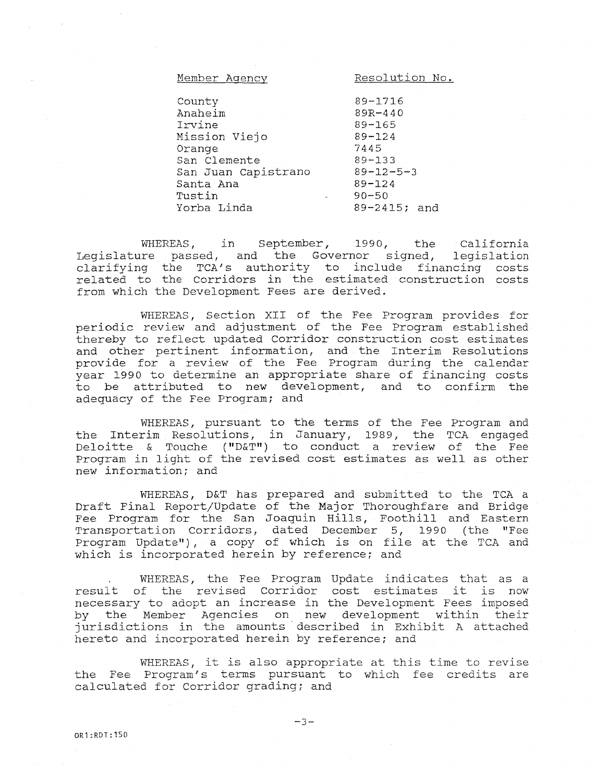| Member Agency       | Resolution No.    |
|---------------------|-------------------|
|                     |                   |
| County              | 89-1716           |
| Anaheim             | $89R - 440$       |
| Irvine              | $89 - 165$        |
| Mission Viejo       | $89 - 124$        |
| Orange              | 7445              |
| San Clemente        | $89 - 133$        |
| San Juan Capistrano | $89 - 12 - 5 - 3$ |
| Santa Ana           | $89 - 124$        |
| Tustin              | $90 - 50$         |
| Yorba Linda         | 89-2415; and      |
|                     |                   |

WHEREAS, in September, 1990, the California Legislature passed, and the Governor signed, legislation clarifying the TCA's authority to include financing costs related to the Corridors in the estimated construction costs from which the Development Fees are derived.

WHEREAS, Section XII of the Fee Program provides for periodic review and adjustment of the Fee Program established thereby to reflect updated Corridor construction cost estimates and other pertinent information, and the Interim Resolutions provide for a review of the Fee Program during the calendar year 1990 to determine an appropriate share of financing costs to be attributed to new development, and to confirm the adequacy of the Fee Program; and

WHEREAS, pursuant to the terms of the Fee Program and the Interim Resolutions, in January, 1989, the TCA engaged Deloitte & Touche ("D&T") to conduct a review of the Fee Program in light of the revised cost estimates as well as other new information; and

WHEREAS, D&T has prepared and submitted to the TCA a Draft Final Report/Update of the Major Thoroughfare and Bridge Fee Program for the San Joaquin Hills, Foothill and Eastern Transportation Corridors, dated December 5, 1990 (the "Fee Program Update"), a copy of which is on file at the TCA and which is incorporated herein by reference; and

WHEREAS, the Fee Program Update indicates that as a result of the revised Corridor cost estimates it is now necessary to adopt an increase in the Development Fees imposed by the Member Agencies on new development within their jurisdictions in the amounts described in Exhibit A attached hereto and incorporated herein by reference; and

WHEREAS, it is also appropriate at this time to revise the Fee Program's terms pursuant to which fee credits are calculated for Corridor grading; and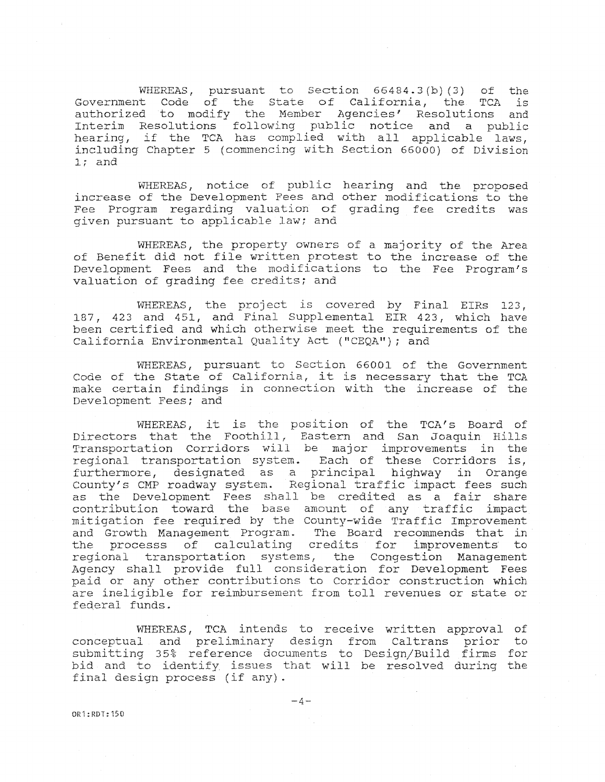WHEREAS, pursuant to Section 66484.3(b)(3) of the Government Code of the State of California, the TCA is authorized to modify the Member Agencies' Resolutions and Interim Resolutions following public notice and a publi hearing, if the TCA has complied with all applicable laws, including Chapter 5 {commencing with Section 66000) of Division l; and

WHEREAS, notice of public hearing and the proposed increase of the Development Fees and other modifications to the Fee Program regarding valuation of grading fee credits was given pursuant to applicable law; and

WHEREAS, the property owners of a majority of the Area of Benefit did not file written protest to the increase of the Development Fees and the modifications to the Fee Program's valuation of grading fee credits; and

WHEREAS, the project is covered by Final EIRs 123, l87, 423 and 451, and Final Supplemental EIR 423, which have been certified and which otherwise meet the requirements of the California Environmental Quality Act ("CEQA"); and

WHEREAS, pursuant to Section 66001 of the Government Code of the State of California, it is necessary that the TCA make certain findings in connection with the increase of the Development Fees; and

WHEREAS, it is the position of the TCA's Board of Directors that the Foothill, Eastern and San Joaquin Hill Transportation Corridors will be major improvements in the regional transportation system. Each of these Corridors is, furthermore, designated as a principal highway in Orange County's CMP roadway system. Regional traffic impact fees such as the Development Fees shall be credited as a fair shar contribution toward the base amount of any traffic impact mitigation fee required by the County-wide Traffic Improvement and Growth Management Program. The Board recommends that in the processs of calculating credits for improvements to regional transportation systems, the Congestion Management Agency shall provide full consideration for Development Fees paid or any other contributions to Corridor construction which are ineligible for reimbursement from toll revenues or state or federal funds.

WHEREAS, TCA intends to receive written approval of conceptual and preliminary design from Caltrans prior to submitting 35% reference documents to Design/Build firms for bid and to identify issues that will be resolved during the final design process (if any).

0R1:RDT:150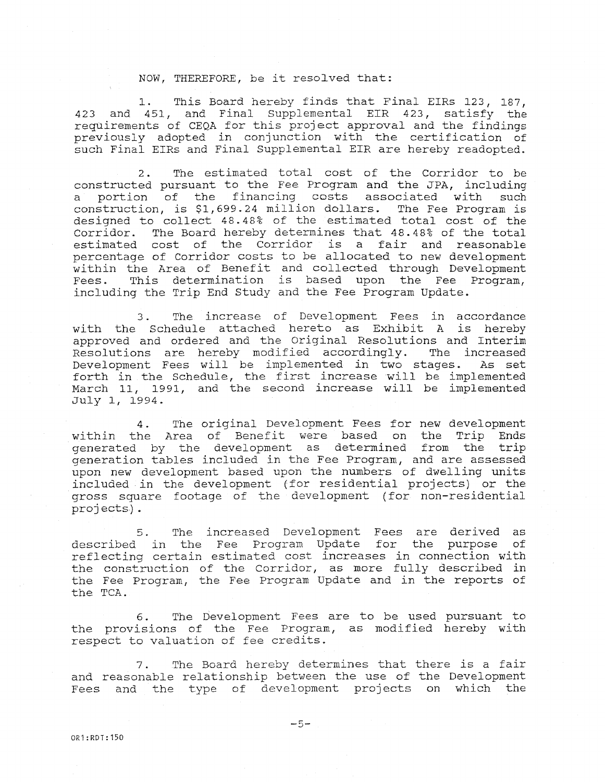#### NOW, THEREFORE, be it resolved that:

1. This Board hereby finds that Final EIRs 123, 187, 423 and 451, and Final Supplemental EIR 423, satisfy the requirements of CEQA for this project approval and the findings previously adopted in conjunction with the certification of such Final EIRs and Final Supplemental EIR are hereby readopted.

2. The estimated total cost of the Corridor to be constructed pursuant to the Fee Program and the JPA, including a portion of the financing costs associated with such construction, is [\\$1,699.24](https://1,699.24) million dollars. The Fee Program is designed to collect 48. 48% of the estimated total cost of the Corridor. The Board hereby determines that 48.48% of the total estimated cost of the Corridor is a fair and reasonable percentage of Corridor costs to be allocated to new development within the Area of Benefit and collected through Development Fees. This determination is based upon the Fee Program, including the Trip End Study and the Fee Program Update.

3. The increase of Development Fees in accordance with the Schedule attached hereto as Exhibit A is hereby approved and ordered and the Original Resolutions and Interim Resolutions are hereby modified accordingly. The increased Development Fees will be implemented in two stages. As set forth in the Schedule, the first increase will be implement March 11, 1991, and the second increase will be implemented July l, 1994.

4. The original Development Fees for new development within the Area of Benefit were based on the Trip Ends generated by the development as determined from the trip generation tables included in the Fee Program, and are assessed upon new development based upon the numbers of dwelling units included in the development (for residential projects) or the gross square footage of the development (for non-residential projects).

5. The increased Development Fees are derived as described in the Fee Program Update for the purpose of reflecting certain estimated cost increases in connection with the construction of the Corridor, as more fully described in the Fee Program, the Fee Program Update and in the reports of the TCA.

6. The Development Fees are to be used pursuant to the provisions of the Fee Program, as modified hereby with respect to valuation of fee credits.

7. The Board hereby determines that there is a fair and reasonable relationship between the use of the Development Fees and the type of development projects on which the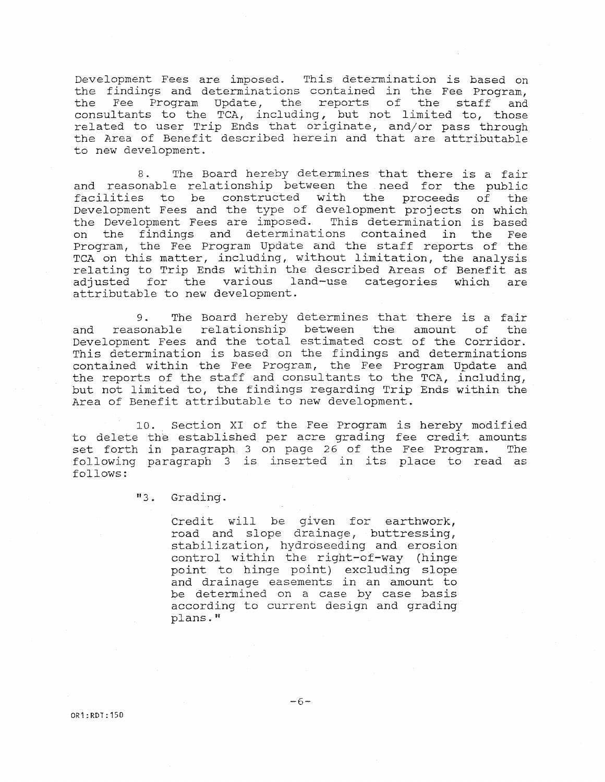Development Fees are imposed. This determination is based on the findings and determinations contained in the Fee Program, the Fee Program Update, the reports of the staff and consultants to the TCA, including, but not limited to, those related to user Trip Ends that originate, and/or pass through the Area of Benefit described herein and that are attributable to new development.

8. The Board hereby determines that there is a fair and reasonable relationship between the need for the public facilities to be constructed with the proceeds of the Development Fees and the type of development projects on which the Development Fees are imposed. This determination is based on the findings and determinations contained in the Fee Program, the Fee Program Update and the staff reports of the TCA on this matter, including, without limitation, the analysis relating to Trip Ends within the described Areas of Benefit as adjusted for the various land-use categories which are attributable to new development.

9. The Board hereby determines that there is a fair and reasonable relationship between the amount of the Development Fees and the total estimated cost of the Corridor. This determination is based on the findings and determinations contained within the Fee Program, the Fee Program Update and the reports of the staff and consultants to the TCA, including, but not limited to, the findings regarding Trip Ends within the Area of Benefit attributable to new development.

10. Section XI of the Fee Program is hereby modified to delete the established per acre grading fee credit amounts set forth in paragraph 3 on page 26 of the Fee Program. The following paragraph 3 is inserted in its place to read as follows:

"3. Grading.

Credit will be given for earthwork, road and slope drainage, buttressing, stabilization, hydroseeding and erosion control within the right-of-way (hinge point to hinge point) excluding slope and drainage easements in an amount to be determined on a case by case basis according to current design and grading plans."

 $-6-$ 

OR1:RDT:150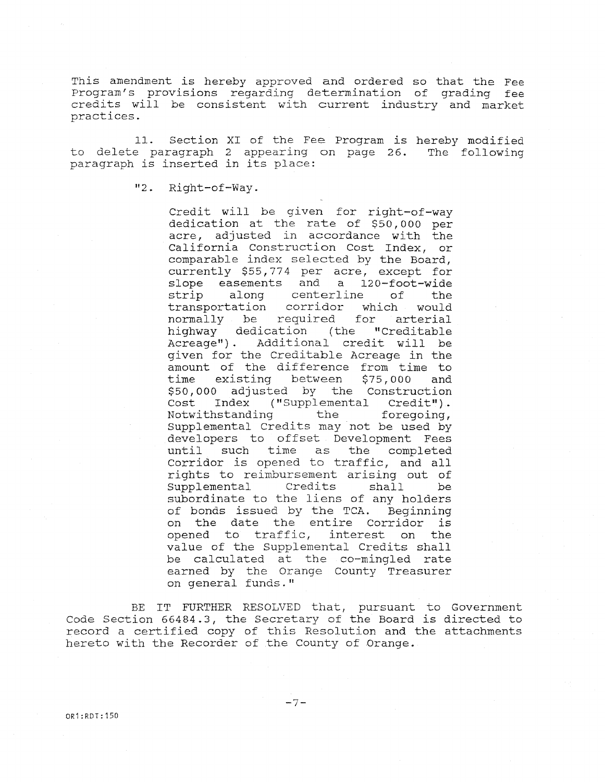This amendment is hereby approved and ordered so that the Fee Program's provisions regarding determination of grading fee credits will be consistent with current industry and market practices.

11. Section XI of the Fee Program is hereby modified to delete paragraph 2 appearing on page 26. The following paragraph is inserted in its place:

"2. Right-of-Way.

Credit will be given for right-of-way dedication at the rate of \$50, 000 per acre, adjusted in accordance with the California Construction Cost Index, or comparable index selected by the Board, currently \$55,774 per acre, except for<br>slope easements and a 120-foot-wide slope easements and a<br>strip along centerli strip along centerline of the transportation corridor which would normally be required for arterial highway dedication (the "Creditable Acreage") . Additional credit will be given for the Creditable Acreage in the amount of the difference from time to<br>time existing between \$75,000 and time existing between \$75,000 and \$50,000 adjusted by the Construction Cost Index ("Supplemental Credit").<br>Notwithstanding the foregoing, Notwithstanding Supplemental Credits may not be used by developers to offset Development Fees until such time as the completed Corridor is opened to traffic, and all rights to reimbursement arising out of Supplemental Credits shall be subordinate to the liens of any holders of bonds issued by the TCA. Beginning on the date the entire Corridor is opened to traffic, interest on the value of the Supplemental Credits shall be calculated at the co-mingled rate earned by the Orange County Treasurer on general funds."

BE IT FURTHER RESOLVED that, pursuant to Government Code Section 66484.3, the Secretary of the Board is directed to record a certified copy of this Resolution and the attachments hereto with the Recorder of the County of Orange.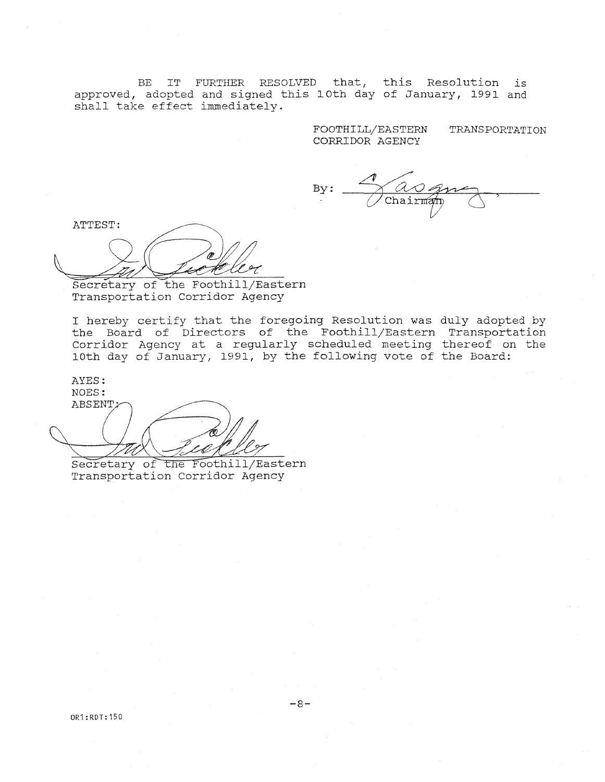approved, adopted and signed this l0th day of January, 1991 and shall take effect immediate.  $BE$ FURTHER RESOLVED that, this Resolution is

> FOOTHILL/EASTERN CORRIDOR AGENCY TRANSPORTATION

By:

ATTEST:

Secretary of the Foothill/Eastern Transportation Corridor Agency

I hereby certify that the foregoing Resolution was duly adopted by the Board of Directors of the Foothill/Eastern Transportation Corridor Agency at a regularly scheduled meeting thereof on the 10th day of January, 1991, by the following vote of the Board:

AYES:<br>NOES: ABSENT,

Secretary of the Foothill/Eastern Transportation Corridor Agency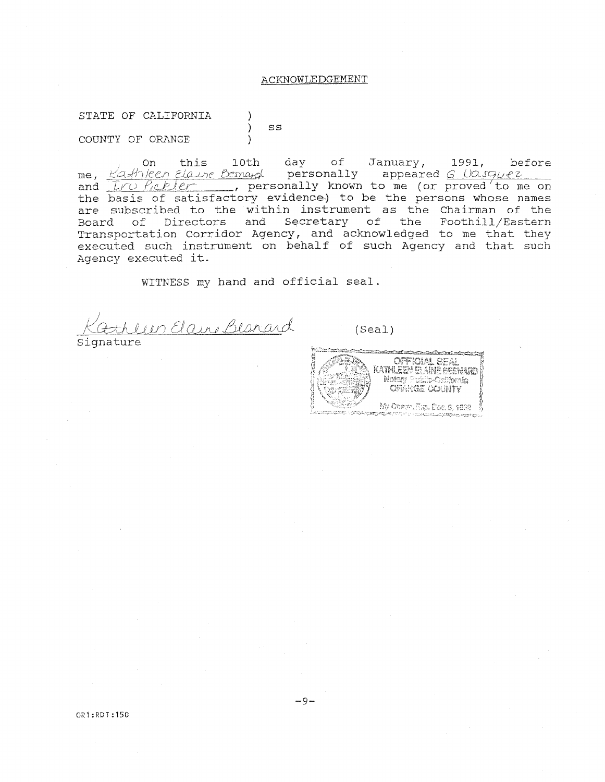#### ACKNOWLEDGEMENT

STATE OF CALIFORNIA

COUNTY OF ORANGE )

) ss

on this 10th day of January, 1991, befor me, <u>Kathleen Elaine Bernard</u> personally appeared <u>G Uasquez</u> and *Iru Prebler* \_\_\_\_, personally known to me (or proved'to me on and *Iru Peller* , personally known to me (or proved'to me or<br>the basis of satisfactory evidence) to be the persons whose names are subscribed to the within instrument as the Chairman of the Board of Directors and Secretary of the Foothill/Ea Transportation Corridor Agency, and acknowledged to me that the executed such instrument on behalf of such Agency and that such Agency executed it.

WITNESS my hand and official seal.

<u>Uin Elane Besnard</u>

Signature

(Seal)

des components de l'armée **CFFICERL CEAL** KATHLEET ELAINE BEENARD My Comm. Sun, Dan 6, 1892 

OR1:RDT:150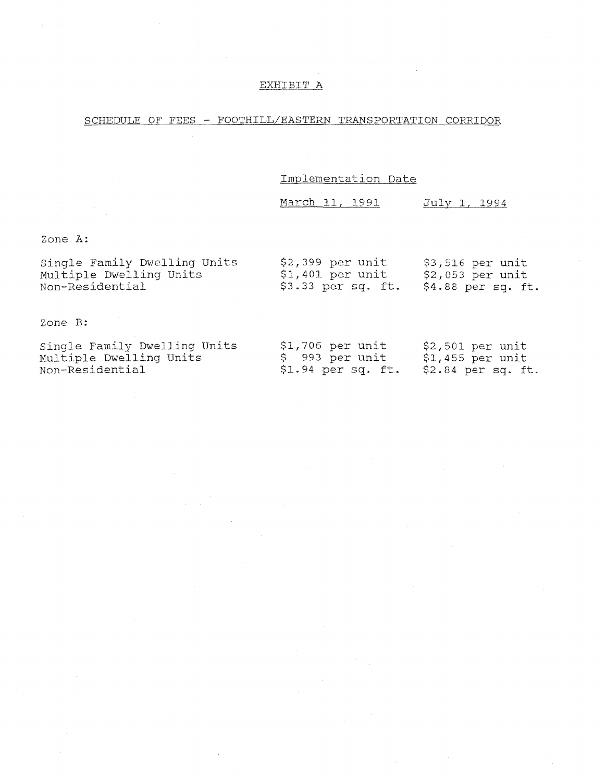#### EXHIBIT A

#### SCHEDULE OF FEES - FOOTHILL/EASTERN TRANSPORTATION CORRIDOR

Implementation Date

March 11, 1991 July 1, 1994

Zone A:

| Single Family Dwelling Units<br>Multiple Dwelling Units | $$2,399$ per unit<br>$$1,401$ per unit | $$3,516$ per unit<br>$$2,053$ per unit |
|---------------------------------------------------------|----------------------------------------|----------------------------------------|
| Non-Residential                                         | $$3.33$ per sq. ft.                    | $$4.88$ per sq. ft.                    |
|                                                         |                                        |                                        |
|                                                         |                                        |                                        |

Zone B:

| Single Family Dwelling Units | $$1,706$ per unit  | $$2,501$ per unit   |
|------------------------------|--------------------|---------------------|
| Multiple Dwelling Units      | \$993 per unit     | \$1,455 per unit    |
| Non-Residential              | \$1.94 per sq. ft. | $$2.84$ per sq. ft. |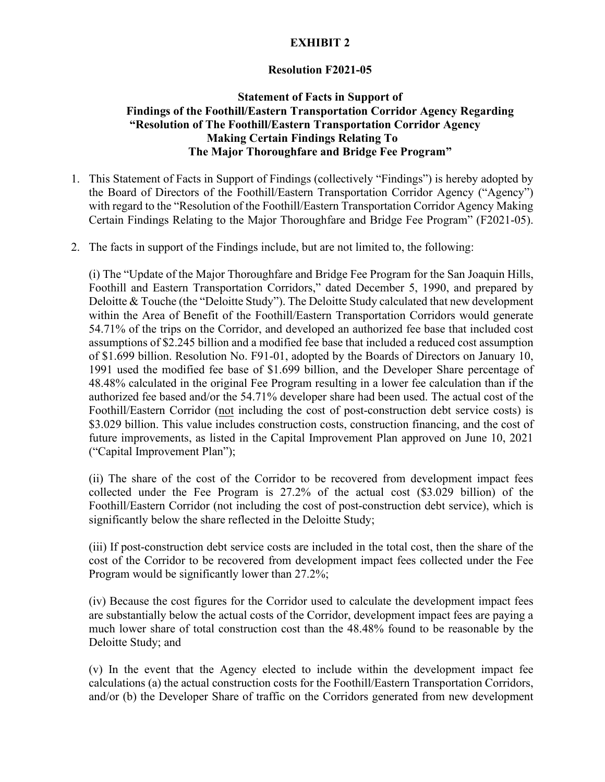# **EXHIBIT 2**

## **Resolution F2021-05**

## **Statement of Facts in Support of Findings of the Foothill/Eastern Transportation Corridor Agency Regarding "Resolution of The Foothill/Eastern Transportation Corridor Agency Making Certain Findings Relating To The Major Thoroughfare and Bridge Fee Program"**

- Certain Findings Relating to the Major Thoroughfare and Bridge Fee Program" (F2021-05). 1. This Statement of Facts in Support of Findings (collectively "Findings") is hereby adopted by the Board of Directors of the Foothill/Eastern Transportation Corridor Agency ("Agency") with regard to the "Resolution of the Foothill/Eastern Transportation Corridor Agency Making
- 2. The facts in support of the Findings include, but are not limited to, the following:

 authorized fee based and/or the 54.71% developer share had been used. The actual cost of the Foothill/Eastern Corridor (not including the cost of post-construction debt service costs) is ("Capital Improvement Plan"); (i) The "Update of the Major Thoroughfare and Bridge Fee Program for the San Joaquin Hills, Foothill and Eastern Transportation Corridors," dated December 5, 1990, and prepared by Deloitte & Touche (the "Deloitte Study"). The Deloitte Study calculated that new development within the Area of Benefit of the Foothill/Eastern Transportation Corridors would generate 54.71% of the trips on the Corridor, and developed an authorized fee base that included cost assumptions of \$2.245 billion and a modified fee base that included a reduced cost assumption of \$1.699 billion. Resolution No. F91-01, adopted by the Boards of Directors on January 10, 1991 used the modified fee base of \$1.699 billion, and the Developer Share percentage of 48.48% calculated in the original Fee Program resulting in a lower fee calculation than if the \$3.029 billion. This value includes construction costs, construction financing, and the cost of future improvements, as listed in the Capital Improvement Plan approved on June 10, 2021

("Capital Improvement Plan");<br>(ii) The share of the cost of the Corridor to be recovered from development impact fees collected under the Fee Program is 27.2% of the actual cost (\$3.029 billion) of the Foothill/Eastern Corridor (not including the cost of post-construction debt service), which is significantly below the share reflected in the Deloitte Study;

(iii) If post-construction debt service costs are included in the total cost, then the share of the cost of the Corridor to be recovered from development impact fees collected under the Fee Program would be significantly lower than 27.2%;

Deloitte Study; and (iv) Because the cost figures for the Corridor used to calculate the development impact fees are substantially below the actual costs of the Corridor, development impact fees are paying a much lower share of total construction cost than the 48.48% found to be reasonable by the

 and/or (b) the Developer Share of traffic on the Corridors generated from new development  $\alpha$ ) In the event that the Agency elected to include within the development impact fee calculations (a) the actual construction costs for the Foothill/Eastern Transportation Corridors,